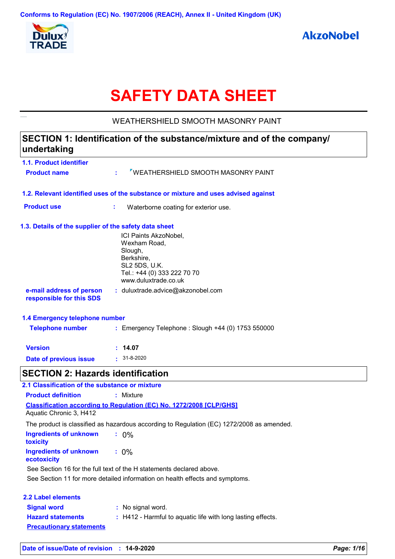

# **SAFETY DATA SHEET**

WEATHERSHIELD SMOOTH MASONRY PAINT

## **SECTION 1: Identification of the substance/mixture and of the company/ undertaking**

| 1.1. Product identifier                               |                                                                                                                                        |
|-------------------------------------------------------|----------------------------------------------------------------------------------------------------------------------------------------|
| <b>Product name</b>                                   | <b>VEATHERSHIELD SMOOTH MASONRY PAINT</b>                                                                                              |
|                                                       | 1.2. Relevant identified uses of the substance or mixture and uses advised against                                                     |
| <b>Product use</b>                                    | ÷<br>Waterborne coating for exterior use.                                                                                              |
| 1.3. Details of the supplier of the safety data sheet |                                                                                                                                        |
|                                                       | ICI Paints AkzoNobel,<br>Wexham Road,<br>Slough,<br>Berkshire,<br>SL2 5DS, U.K.<br>Tel.: +44 (0) 333 222 70 70<br>www.duluxtrade.co.uk |
| e-mail address of person<br>responsible for this SDS  | : duluxtrade.advice@akzonobel.com                                                                                                      |
| 1.4 Emergency telephone number                        |                                                                                                                                        |
| <b>Telephone number</b>                               | : Emergency Telephone : Slough +44 (0) 1753 550000                                                                                     |
| <b>Version</b>                                        | : 14.07                                                                                                                                |
| Date of previous issue                                | $: 31 - 8 - 2020$                                                                                                                      |
| <b>SECTION 2: Hazards identification</b>              |                                                                                                                                        |
| 2.1 Classification of the substance or mixture        |                                                                                                                                        |
| <b>Product definition</b>                             | : Mixture                                                                                                                              |
|                                                       | <b>Classification according to Regulation (EC) No. 1272/2008 [CLP/GHS]</b>                                                             |

Aquatic Chronic 3, H412

The product is classified as hazardous according to Regulation (EC) 1272/2008 as amended.

| Ingredients of unknown<br>toxicity    | $.0\%$                                                               |
|---------------------------------------|----------------------------------------------------------------------|
| Ingredients of unknown<br>ecotoxicity | $: 0\%$                                                              |
|                                       | See Section 16 for the full text of the H statements declared above. |

See Section 11 for more detailed information on health effects and symptoms.

| 2.2 Label elements              |                                                             |
|---------------------------------|-------------------------------------------------------------|
| <b>Signal word</b>              | : No signal word.                                           |
| <b>Hazard statements</b>        | : H412 - Harmful to aquatic life with long lasting effects. |
| <b>Precautionary statements</b> |                                                             |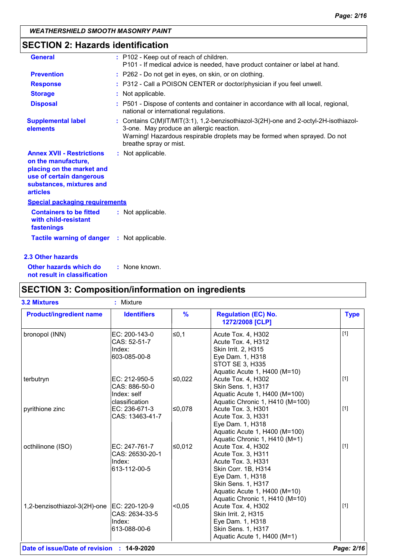## **SECTION 2: Hazards identification**

| <b>General</b>                                                                                                                                                  | : P102 - Keep out of reach of children.<br>P101 - If medical advice is needed, have product container or label at hand.                                                                                                                |
|-----------------------------------------------------------------------------------------------------------------------------------------------------------------|----------------------------------------------------------------------------------------------------------------------------------------------------------------------------------------------------------------------------------------|
| <b>Prevention</b>                                                                                                                                               | : P262 - Do not get in eyes, on skin, or on clothing.                                                                                                                                                                                  |
| <b>Response</b>                                                                                                                                                 | : P312 - Call a POISON CENTER or doctor/physician if you feel unwell.                                                                                                                                                                  |
| <b>Storage</b>                                                                                                                                                  | : Not applicable.                                                                                                                                                                                                                      |
| <b>Disposal</b>                                                                                                                                                 | : P501 - Dispose of contents and container in accordance with all local, regional,<br>national or international regulations.                                                                                                           |
| <b>Supplemental label</b><br>elements                                                                                                                           | : Contains C(M)IT/MIT(3:1), 1,2-benzisothiazol-3(2H)-one and 2-octyl-2H-isothiazol-<br>3-one. May produce an allergic reaction.<br>Warning! Hazardous respirable droplets may be formed when sprayed. Do not<br>breathe spray or mist. |
| <b>Annex XVII - Restrictions</b><br>on the manufacture,<br>placing on the market and<br>use of certain dangerous<br>substances, mixtures and<br><b>articles</b> | : Not applicable.                                                                                                                                                                                                                      |
| <b>Special packaging requirements</b>                                                                                                                           |                                                                                                                                                                                                                                        |
| <b>Containers to be fitted</b><br>with child-resistant<br>fastenings                                                                                            | : Not applicable.                                                                                                                                                                                                                      |
| <b>Tactile warning of danger : Not applicable.</b>                                                                                                              |                                                                                                                                                                                                                                        |
| 2.3 Other hazards                                                                                                                                               |                                                                                                                                                                                                                                        |

**Other hazards which do : not result in classification** : None known.

## **SECTION 3: Composition/information on ingredients**

| <b>3.2 Mixtures</b>            | : Mixture                                                       |               |                                                                                                                                                                                                   |             |
|--------------------------------|-----------------------------------------------------------------|---------------|---------------------------------------------------------------------------------------------------------------------------------------------------------------------------------------------------|-------------|
| <b>Product/ingredient name</b> | <b>Identifiers</b>                                              | $\frac{9}{6}$ | <b>Regulation (EC) No.</b><br>1272/2008 [CLP]                                                                                                                                                     | <b>Type</b> |
| bronopol (INN)                 | EC: 200-143-0<br>CAS: 52-51-7<br>Index:<br>603-085-00-8         | $≤0,1$        | Acute Tox. 4, H302<br>Acute Tox. 4, H312<br>Skin Irrit. 2, H315<br>Eye Dam. 1, H318<br><b>STOT SE 3, H335</b><br>Aquatic Acute 1, H400 (M=10)                                                     | $[1]$       |
| terbutryn                      | EC: 212-950-5<br>CAS: 886-50-0<br>Index: self<br>classification | ≤0,022        | Acute Tox. 4, H302<br>Skin Sens. 1, H317<br>Aquatic Acute 1, H400 (M=100)<br>Aquatic Chronic 1, H410 (M=100)                                                                                      | $[1]$       |
| pyrithione zinc                | EC: 236-671-3<br>CAS: 13463-41-7                                | ≤0,078        | Acute Tox. 3, H301<br>Acute Tox. 3, H331<br>Eye Dam. 1, H318<br>Aquatic Acute 1, H400 (M=100)<br>Aquatic Chronic 1, H410 (M=1)                                                                    | $[1]$       |
| octhilinone (ISO)              | EC: 247-761-7<br>CAS: 26530-20-1<br>Index:<br>613-112-00-5      | ≤0,012        | Acute Tox. 4, H302<br>Acute Tox. 3, H311<br>Acute Tox. 3, H331<br>Skin Corr. 1B, H314<br>Eye Dam. 1, H318<br>Skin Sens. 1, H317<br>Aquatic Acute 1, H400 (M=10)<br>Aquatic Chronic 1, H410 (M=10) | $[1]$       |
| 1,2-benzisothiazol-3(2H)-one   | EC: 220-120-9<br>CAS: 2634-33-5<br>Index:<br>613-088-00-6       | < 0.05        | Acute Tox. 4, H302<br>Skin Irrit. 2, H315<br>Eye Dam. 1, H318<br>Skin Sens. 1, H317<br>Aquatic Acute 1, H400 (M=1)                                                                                | $[1]$       |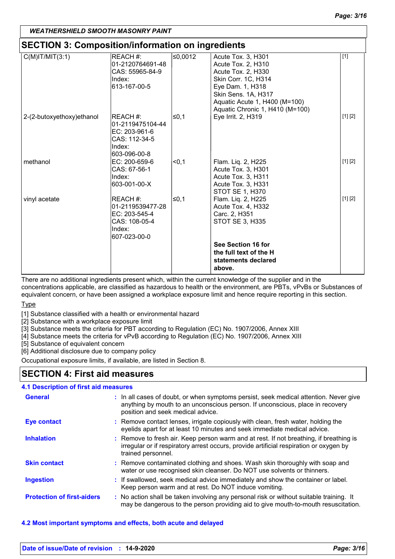## **SECTION 3: Composition/information on ingredients**

| SECTION 3: Composition/information on ingredients |                                                                                                                                                                             |                        |                                                                                                                                                                                                                                                                                                                                       |  |
|---------------------------------------------------|-----------------------------------------------------------------------------------------------------------------------------------------------------------------------------|------------------------|---------------------------------------------------------------------------------------------------------------------------------------------------------------------------------------------------------------------------------------------------------------------------------------------------------------------------------------|--|
| REACH #:                                          | ≤0,0012                                                                                                                                                                     | Acute Tox. 3, H301     | $[1]$                                                                                                                                                                                                                                                                                                                                 |  |
| 01-2120764691-48                                  |                                                                                                                                                                             | Acute Tox. 2, H310     |                                                                                                                                                                                                                                                                                                                                       |  |
| CAS: 55965-84-9                                   |                                                                                                                                                                             |                        |                                                                                                                                                                                                                                                                                                                                       |  |
| Index:                                            |                                                                                                                                                                             |                        |                                                                                                                                                                                                                                                                                                                                       |  |
|                                                   |                                                                                                                                                                             |                        |                                                                                                                                                                                                                                                                                                                                       |  |
|                                                   |                                                                                                                                                                             |                        |                                                                                                                                                                                                                                                                                                                                       |  |
|                                                   |                                                                                                                                                                             |                        |                                                                                                                                                                                                                                                                                                                                       |  |
|                                                   |                                                                                                                                                                             |                        |                                                                                                                                                                                                                                                                                                                                       |  |
|                                                   |                                                                                                                                                                             |                        | [1] [2]                                                                                                                                                                                                                                                                                                                               |  |
|                                                   |                                                                                                                                                                             |                        |                                                                                                                                                                                                                                                                                                                                       |  |
|                                                   |                                                                                                                                                                             |                        |                                                                                                                                                                                                                                                                                                                                       |  |
|                                                   |                                                                                                                                                                             |                        |                                                                                                                                                                                                                                                                                                                                       |  |
|                                                   |                                                                                                                                                                             |                        |                                                                                                                                                                                                                                                                                                                                       |  |
|                                                   |                                                                                                                                                                             |                        | [1] [2]                                                                                                                                                                                                                                                                                                                               |  |
|                                                   |                                                                                                                                                                             |                        |                                                                                                                                                                                                                                                                                                                                       |  |
|                                                   |                                                                                                                                                                             |                        |                                                                                                                                                                                                                                                                                                                                       |  |
|                                                   |                                                                                                                                                                             |                        |                                                                                                                                                                                                                                                                                                                                       |  |
|                                                   |                                                                                                                                                                             |                        |                                                                                                                                                                                                                                                                                                                                       |  |
| <b>IREACH #:</b>                                  |                                                                                                                                                                             |                        | [1] [2]                                                                                                                                                                                                                                                                                                                               |  |
| 01-2119539477-28                                  |                                                                                                                                                                             |                        |                                                                                                                                                                                                                                                                                                                                       |  |
| EC: 203-545-4                                     |                                                                                                                                                                             | Carc. 2, H351          |                                                                                                                                                                                                                                                                                                                                       |  |
| CAS: 108-05-4                                     |                                                                                                                                                                             | STOT SE 3, H335        |                                                                                                                                                                                                                                                                                                                                       |  |
| Index:                                            |                                                                                                                                                                             |                        |                                                                                                                                                                                                                                                                                                                                       |  |
| 607-023-00-0                                      |                                                                                                                                                                             |                        |                                                                                                                                                                                                                                                                                                                                       |  |
|                                                   |                                                                                                                                                                             | See Section 16 for     |                                                                                                                                                                                                                                                                                                                                       |  |
|                                                   |                                                                                                                                                                             | the full text of the H |                                                                                                                                                                                                                                                                                                                                       |  |
|                                                   |                                                                                                                                                                             | statements declared    |                                                                                                                                                                                                                                                                                                                                       |  |
|                                                   |                                                                                                                                                                             | above.                 |                                                                                                                                                                                                                                                                                                                                       |  |
|                                                   | 613-167-00-5<br><b>IREACH #:</b><br>01-2119475104-44<br>EC: 203-961-6<br>CAS: 112-34-5<br>Index:<br>603-096-00-8<br>EC: 200-659-6<br>CAS: 67-56-1<br>Index:<br>603-001-00-X | l≤0,1<br>$0.1$<br>≤0,1 | Acute Tox. 2, H330<br>Skin Corr. 1C, H314<br>Eye Dam. 1, H318<br>Skin Sens. 1A, H317<br>Aquatic Acute 1, H400 (M=100)<br>Aquatic Chronic 1, H410 (M=100)<br>Eye Irrit. 2, H319<br>Flam. Liq. 2, H225<br>Acute Tox. 3, H301<br>Acute Tox. 3, H311<br>Acute Tox. 3, H331<br>STOT SE 1, H370<br>Flam. Liq. 2, H225<br>Acute Tox. 4, H332 |  |

There are no additional ingredients present which, within the current knowledge of the supplier and in the

concentrations applicable, are classified as hazardous to health or the environment, are PBTs, vPvBs or Substances of equivalent concern, or have been assigned a workplace exposure limit and hence require reporting in this section. Type

[1] Substance classified with a health or environmental hazard

[2] Substance with a workplace exposure limit

[3] Substance meets the criteria for PBT according to Regulation (EC) No. 1907/2006, Annex XIII

[4] Substance meets the criteria for vPvB according to Regulation (EC) No. 1907/2006, Annex XIII

[5] Substance of equivalent concern

[6] Additional disclosure due to company policy

Occupational exposure limits, if available, are listed in Section 8.

## **SECTION 4: First aid measures**

#### **4.1 Description of first aid measures**

| <b>General</b>                    | : In all cases of doubt, or when symptoms persist, seek medical attention. Never give<br>anything by mouth to an unconscious person. If unconscious, place in recovery<br>position and seek medical advice. |
|-----------------------------------|-------------------------------------------------------------------------------------------------------------------------------------------------------------------------------------------------------------|
| Eye contact                       | : Remove contact lenses, irrigate copiously with clean, fresh water, holding the<br>eyelids apart for at least 10 minutes and seek immediate medical advice.                                                |
| <b>Inhalation</b>                 | : Remove to fresh air. Keep person warm and at rest. If not breathing, if breathing is<br>irregular or if respiratory arrest occurs, provide artificial respiration or oxygen by<br>trained personnel.      |
| <b>Skin contact</b>               | : Remove contaminated clothing and shoes. Wash skin thoroughly with soap and<br>water or use recognised skin cleanser. Do NOT use solvents or thinners.                                                     |
| <b>Ingestion</b>                  | : If swallowed, seek medical advice immediately and show the container or label.<br>Keep person warm and at rest. Do NOT induce vomiting.                                                                   |
| <b>Protection of first-aiders</b> | : No action shall be taken involving any personal risk or without suitable training. It<br>may be dangerous to the person providing aid to give mouth-to-mouth resuscitation.                               |

#### **4.2 Most important symptoms and effects, both acute and delayed**

| Date of issue/Date of revision : 14-9-2020 | Page: 3/16 |
|--------------------------------------------|------------|
|                                            |            |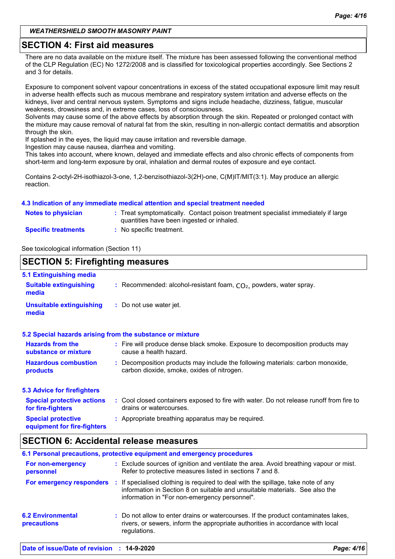#### **SECTION 4: First aid measures**

There are no data available on the mixture itself. The mixture has been assessed following the conventional method of the CLP Regulation (EC) No 1272/2008 and is classified for toxicological properties accordingly. See Sections 2 and 3 for details.

Exposure to component solvent vapour concentrations in excess of the stated occupational exposure limit may result in adverse health effects such as mucous membrane and respiratory system irritation and adverse effects on the kidneys, liver and central nervous system. Symptoms and signs include headache, dizziness, fatigue, muscular weakness, drowsiness and, in extreme cases, loss of consciousness.

Solvents may cause some of the above effects by absorption through the skin. Repeated or prolonged contact with the mixture may cause removal of natural fat from the skin, resulting in non-allergic contact dermatitis and absorption through the skin.

If splashed in the eyes, the liquid may cause irritation and reversible damage.

Ingestion may cause nausea, diarrhea and vomiting.

This takes into account, where known, delayed and immediate effects and also chronic effects of components from short-term and long-term exposure by oral, inhalation and dermal routes of exposure and eye contact.

Contains 2-octyl-2H-isothiazol-3-one, 1,2-benzisothiazol-3(2H)-one, C(M)IT/MIT(3:1). May produce an allergic reaction.

#### **4.3 Indication of any immediate medical attention and special treatment needed**

| <b>Notes to physician</b>  | : Treat symptomatically. Contact poison treatment specialist immediately if large<br>quantities have been ingested or inhaled. |
|----------------------------|--------------------------------------------------------------------------------------------------------------------------------|
| <b>Specific treatments</b> | : No specific treatment.                                                                                                       |

See toxicological information (Section 11)

#### **SECTION 5: Firefighting measures**

| 5.1 Extinguishing media                                  |                                                                                                                              |
|----------------------------------------------------------|------------------------------------------------------------------------------------------------------------------------------|
| <b>Suitable extinguishing</b><br>media                   | : Recommended: alcohol-resistant foam, $CO2$ , powders, water spray.                                                         |
| <b>Unsuitable extinguishing</b><br>media                 | : Do not use water jet.                                                                                                      |
|                                                          | 5.2 Special hazards arising from the substance or mixture                                                                    |
| <b>Hazards from the</b><br>substance or mixture          | : Fire will produce dense black smoke. Exposure to decomposition products may<br>cause a health hazard.                      |
| <b>Hazardous combustion</b><br>products                  | : Decomposition products may include the following materials: carbon monoxide,<br>carbon dioxide, smoke, oxides of nitrogen. |
| <b>5.3 Advice for firefighters</b>                       |                                                                                                                              |
| <b>Special protective actions</b><br>for fire-fighters   | : Cool closed containers exposed to fire with water. Do not release runoff from fire to<br>drains or watercourses.           |
| <b>Special protective</b><br>equipment for fire-fighters | : Appropriate breathing apparatus may be required.                                                                           |

## **SECTION 6: Accidental release measures**

|                                         | 6.1 Personal precautions, protective equipment and emergency procedures                                                                                                                                           |
|-----------------------------------------|-------------------------------------------------------------------------------------------------------------------------------------------------------------------------------------------------------------------|
| For non-emergency<br>personnel          | : Exclude sources of ignition and ventilate the area. Avoid breathing vapour or mist.<br>Refer to protective measures listed in sections 7 and 8.                                                                 |
| For emergency responders                | : If specialised clothing is required to deal with the spillage, take note of any<br>information in Section 8 on suitable and unsuitable materials. See also the<br>information in "For non-emergency personnel". |
| <b>6.2 Environmental</b><br>precautions | : Do not allow to enter drains or watercourses. If the product contaminates lakes,<br>rivers, or sewers, inform the appropriate authorities in accordance with local<br>regulations.                              |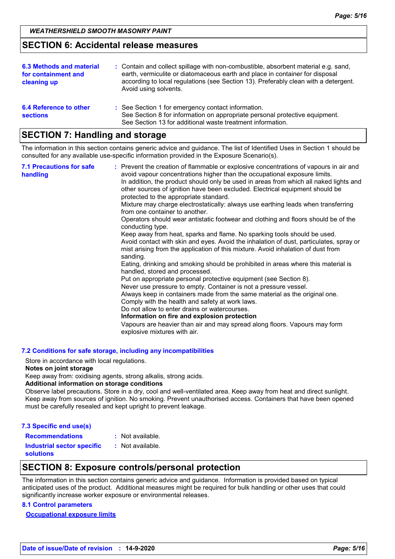#### **SECTION 6: Accidental release measures**

| 6.3 Methods and material<br>for containment and<br>cleaning up | : Contain and collect spillage with non-combustible, absorbent material e.g. sand,<br>earth, vermiculite or diatomaceous earth and place in container for disposal<br>according to local regulations (see Section 13). Preferably clean with a detergent.<br>Avoid using solvents. |
|----------------------------------------------------------------|------------------------------------------------------------------------------------------------------------------------------------------------------------------------------------------------------------------------------------------------------------------------------------|
| 6.4 Reference to other<br><b>sections</b>                      | : See Section 1 for emergency contact information.<br>See Section 8 for information on appropriate personal protective equipment.<br>See Section 13 for additional waste treatment information.                                                                                    |

## **SECTION 7: Handling and storage**

The information in this section contains generic advice and guidance. The list of Identified Uses in Section 1 should be consulted for any available use-specific information provided in the Exposure Scenario(s).

| <b>7.1 Precautions for safe</b><br>handling | : Prevent the creation of flammable or explosive concentrations of vapours in air and<br>avoid vapour concentrations higher than the occupational exposure limits.<br>In addition, the product should only be used in areas from which all naked lights and<br>other sources of ignition have been excluded. Electrical equipment should be<br>protected to the appropriate standard.<br>Mixture may charge electrostatically: always use earthing leads when transferring<br>from one container to another.<br>Operators should wear antistatic footwear and clothing and floors should be of the<br>conducting type.<br>Keep away from heat, sparks and flame. No sparking tools should be used.<br>Avoid contact with skin and eyes. Avoid the inhalation of dust, particulates, spray or<br>mist arising from the application of this mixture. Avoid inhalation of dust from<br>sanding.<br>Eating, drinking and smoking should be prohibited in areas where this material is<br>handled, stored and processed.<br>Put on appropriate personal protective equipment (see Section 8).<br>Never use pressure to empty. Container is not a pressure vessel.<br>Always keep in containers made from the same material as the original one.<br>Comply with the health and safety at work laws.<br>Do not allow to enter drains or watercourses.<br>Information on fire and explosion protection<br>Vapours are heavier than air and may spread along floors. Vapours may form<br>explosive mixtures with air. |
|---------------------------------------------|--------------------------------------------------------------------------------------------------------------------------------------------------------------------------------------------------------------------------------------------------------------------------------------------------------------------------------------------------------------------------------------------------------------------------------------------------------------------------------------------------------------------------------------------------------------------------------------------------------------------------------------------------------------------------------------------------------------------------------------------------------------------------------------------------------------------------------------------------------------------------------------------------------------------------------------------------------------------------------------------------------------------------------------------------------------------------------------------------------------------------------------------------------------------------------------------------------------------------------------------------------------------------------------------------------------------------------------------------------------------------------------------------------------------------------------------------------------------------------------------------------------|
|---------------------------------------------|--------------------------------------------------------------------------------------------------------------------------------------------------------------------------------------------------------------------------------------------------------------------------------------------------------------------------------------------------------------------------------------------------------------------------------------------------------------------------------------------------------------------------------------------------------------------------------------------------------------------------------------------------------------------------------------------------------------------------------------------------------------------------------------------------------------------------------------------------------------------------------------------------------------------------------------------------------------------------------------------------------------------------------------------------------------------------------------------------------------------------------------------------------------------------------------------------------------------------------------------------------------------------------------------------------------------------------------------------------------------------------------------------------------------------------------------------------------------------------------------------------------|

#### **7.2 Conditions for safe storage, including any incompatibilities**

Store in accordance with local regulations.

#### **Notes on joint storage**

Keep away from: oxidising agents, strong alkalis, strong acids.

#### **Additional information on storage conditions**

Observe label precautions. Store in a dry, cool and well-ventilated area. Keep away from heat and direct sunlight. Keep away from sources of ignition. No smoking. Prevent unauthorised access. Containers that have been opened must be carefully resealed and kept upright to prevent leakage.

#### **7.3 Specific end use(s)**

| <b>Recommendations</b>            | : Not available. |
|-----------------------------------|------------------|
| <b>Industrial sector specific</b> | : Not available. |
| <b>solutions</b>                  |                  |

### **SECTION 8: Exposure controls/personal protection**

The information in this section contains generic advice and guidance. Information is provided based on typical anticipated uses of the product. Additional measures might be required for bulk handling or other uses that could significantly increase worker exposure or environmental releases.

#### **8.1 Control parameters**

**Occupational exposure limits**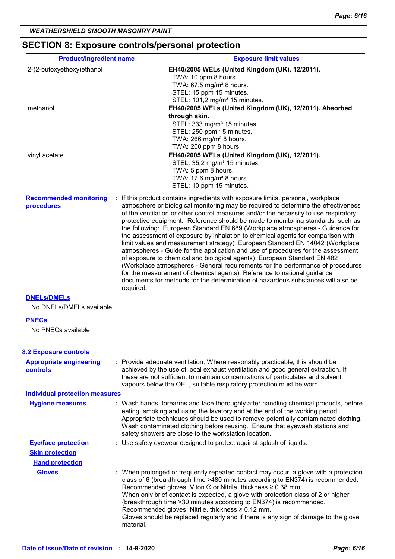## **SECTION 8: Exposure controls/personal protection**

| <b>Product/ingredient name</b>                  |                                                                                     | <b>Exposure limit values</b>                                                                                                                                                                                                                                                                                                                                                                                                                                                                                                                                                                                                                                                                                                                                                                                                                                                                                                      |  |  |
|-------------------------------------------------|-------------------------------------------------------------------------------------|-----------------------------------------------------------------------------------------------------------------------------------------------------------------------------------------------------------------------------------------------------------------------------------------------------------------------------------------------------------------------------------------------------------------------------------------------------------------------------------------------------------------------------------------------------------------------------------------------------------------------------------------------------------------------------------------------------------------------------------------------------------------------------------------------------------------------------------------------------------------------------------------------------------------------------------|--|--|
| 2-(2-butoxyethoxy)ethanol                       |                                                                                     | EH40/2005 WELs (United Kingdom (UK), 12/2011).                                                                                                                                                                                                                                                                                                                                                                                                                                                                                                                                                                                                                                                                                                                                                                                                                                                                                    |  |  |
|                                                 |                                                                                     | TWA: 10 ppm 8 hours.<br>TWA: 67,5 mg/m <sup>3</sup> 8 hours.                                                                                                                                                                                                                                                                                                                                                                                                                                                                                                                                                                                                                                                                                                                                                                                                                                                                      |  |  |
|                                                 |                                                                                     | STEL: 15 ppm 15 minutes.                                                                                                                                                                                                                                                                                                                                                                                                                                                                                                                                                                                                                                                                                                                                                                                                                                                                                                          |  |  |
|                                                 |                                                                                     | STEL: 101,2 mg/m <sup>3</sup> 15 minutes.                                                                                                                                                                                                                                                                                                                                                                                                                                                                                                                                                                                                                                                                                                                                                                                                                                                                                         |  |  |
| methanol                                        |                                                                                     | EH40/2005 WELs (United Kingdom (UK), 12/2011). Absorbed<br>through skin.                                                                                                                                                                                                                                                                                                                                                                                                                                                                                                                                                                                                                                                                                                                                                                                                                                                          |  |  |
|                                                 |                                                                                     | STEL: 333 mg/m <sup>3</sup> 15 minutes.                                                                                                                                                                                                                                                                                                                                                                                                                                                                                                                                                                                                                                                                                                                                                                                                                                                                                           |  |  |
|                                                 |                                                                                     | STEL: 250 ppm 15 minutes.                                                                                                                                                                                                                                                                                                                                                                                                                                                                                                                                                                                                                                                                                                                                                                                                                                                                                                         |  |  |
|                                                 |                                                                                     | TWA: 266 mg/m <sup>3</sup> 8 hours.<br>TWA: 200 ppm 8 hours.                                                                                                                                                                                                                                                                                                                                                                                                                                                                                                                                                                                                                                                                                                                                                                                                                                                                      |  |  |
| vinyl acetate                                   |                                                                                     | EH40/2005 WELs (United Kingdom (UK), 12/2011).                                                                                                                                                                                                                                                                                                                                                                                                                                                                                                                                                                                                                                                                                                                                                                                                                                                                                    |  |  |
|                                                 |                                                                                     | STEL: 35,2 mg/m <sup>3</sup> 15 minutes.                                                                                                                                                                                                                                                                                                                                                                                                                                                                                                                                                                                                                                                                                                                                                                                                                                                                                          |  |  |
|                                                 |                                                                                     | TWA: 5 ppm 8 hours.                                                                                                                                                                                                                                                                                                                                                                                                                                                                                                                                                                                                                                                                                                                                                                                                                                                                                                               |  |  |
|                                                 |                                                                                     | TWA: 17,6 mg/m <sup>3</sup> 8 hours.<br>STEL: 10 ppm 15 minutes.                                                                                                                                                                                                                                                                                                                                                                                                                                                                                                                                                                                                                                                                                                                                                                                                                                                                  |  |  |
| <b>Recommended monitoring</b>                   |                                                                                     | : If this product contains ingredients with exposure limits, personal, workplace                                                                                                                                                                                                                                                                                                                                                                                                                                                                                                                                                                                                                                                                                                                                                                                                                                                  |  |  |
| procedures                                      | required.                                                                           | atmosphere or biological monitoring may be required to determine the effectiveness<br>of the ventilation or other control measures and/or the necessity to use respiratory<br>protective equipment. Reference should be made to monitoring standards, such as<br>the following: European Standard EN 689 (Workplace atmospheres - Guidance for<br>the assessment of exposure by inhalation to chemical agents for comparison with<br>limit values and measurement strategy) European Standard EN 14042 (Workplace<br>atmospheres - Guide for the application and use of procedures for the assessment<br>of exposure to chemical and biological agents) European Standard EN 482<br>(Workplace atmospheres - General requirements for the performance of procedures<br>for the measurement of chemical agents) Reference to national guidance<br>documents for methods for the determination of hazardous substances will also be |  |  |
| <b>DNELS/DMELS</b><br>No DNELs/DMELs available. |                                                                                     |                                                                                                                                                                                                                                                                                                                                                                                                                                                                                                                                                                                                                                                                                                                                                                                                                                                                                                                                   |  |  |
| <b>PNECs</b>                                    |                                                                                     |                                                                                                                                                                                                                                                                                                                                                                                                                                                                                                                                                                                                                                                                                                                                                                                                                                                                                                                                   |  |  |
| No PNECs available                              |                                                                                     |                                                                                                                                                                                                                                                                                                                                                                                                                                                                                                                                                                                                                                                                                                                                                                                                                                                                                                                                   |  |  |
| <b>8.2 Exposure controls</b>                    |                                                                                     |                                                                                                                                                                                                                                                                                                                                                                                                                                                                                                                                                                                                                                                                                                                                                                                                                                                                                                                                   |  |  |
| <b>Appropriate engineering</b><br>controls      |                                                                                     | : Provide adequate ventilation. Where reasonably practicable, this should be<br>achieved by the use of local exhaust ventilation and good general extraction. If<br>these are not sufficient to maintain concentrations of particulates and solvent<br>vapours below the OEL, suitable respiratory protection must be worn.                                                                                                                                                                                                                                                                                                                                                                                                                                                                                                                                                                                                       |  |  |
| <b>Individual protection measures</b>           |                                                                                     |                                                                                                                                                                                                                                                                                                                                                                                                                                                                                                                                                                                                                                                                                                                                                                                                                                                                                                                                   |  |  |
| <b>Hygiene measures</b>                         |                                                                                     | : Wash hands, forearms and face thoroughly after handling chemical products, before<br>eating, smoking and using the lavatory and at the end of the working period.<br>Appropriate techniques should be used to remove potentially contaminated clothing.<br>Wash contaminated clothing before reusing. Ensure that eyewash stations and<br>safety showers are close to the workstation location.                                                                                                                                                                                                                                                                                                                                                                                                                                                                                                                                 |  |  |
| <b>Eye/face protection</b>                      |                                                                                     | : Use safety eyewear designed to protect against splash of liquids.                                                                                                                                                                                                                                                                                                                                                                                                                                                                                                                                                                                                                                                                                                                                                                                                                                                               |  |  |
| <b>Skin protection</b>                          |                                                                                     |                                                                                                                                                                                                                                                                                                                                                                                                                                                                                                                                                                                                                                                                                                                                                                                                                                                                                                                                   |  |  |
| <b>Hand protection</b>                          |                                                                                     |                                                                                                                                                                                                                                                                                                                                                                                                                                                                                                                                                                                                                                                                                                                                                                                                                                                                                                                                   |  |  |
| <b>Gloves</b>                                   | Gloves should be replaced regularly and if there is any sign of damage to the glove | : When prolonged or frequently repeated contact may occur, a glove with a protection<br>class of 6 (breakthrough time >480 minutes according to EN374) is recommended.<br>Recommended gloves: Viton ® or Nitrile, thickness ≥ 0.38 mm.<br>When only brief contact is expected, a glove with protection class of 2 or higher<br>(breakthrough time > 30 minutes according to EN374) is recommended.<br>Recommended gloves: Nitrile, thickness ≥ 0.12 mm.                                                                                                                                                                                                                                                                                                                                                                                                                                                                           |  |  |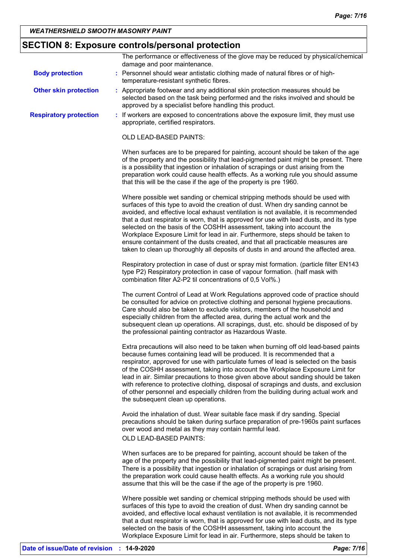## **SECTION 8: Exposure controls/personal protection**

|                               | The performance or effectiveness of the glove may be reduced by physical/chemical<br>damage and poor maintenance.                                                                                                                                                                                                                                                                                                                                                                                                                                                                                                                                                                       |
|-------------------------------|-----------------------------------------------------------------------------------------------------------------------------------------------------------------------------------------------------------------------------------------------------------------------------------------------------------------------------------------------------------------------------------------------------------------------------------------------------------------------------------------------------------------------------------------------------------------------------------------------------------------------------------------------------------------------------------------|
| <b>Body protection</b>        | : Personnel should wear antistatic clothing made of natural fibres or of high-<br>temperature-resistant synthetic fibres.                                                                                                                                                                                                                                                                                                                                                                                                                                                                                                                                                               |
| <b>Other skin protection</b>  | : Appropriate footwear and any additional skin protection measures should be<br>selected based on the task being performed and the risks involved and should be<br>approved by a specialist before handling this product.                                                                                                                                                                                                                                                                                                                                                                                                                                                               |
| <b>Respiratory protection</b> | : If workers are exposed to concentrations above the exposure limit, they must use<br>appropriate, certified respirators.                                                                                                                                                                                                                                                                                                                                                                                                                                                                                                                                                               |
|                               | OLD LEAD-BASED PAINTS:                                                                                                                                                                                                                                                                                                                                                                                                                                                                                                                                                                                                                                                                  |
|                               | When surfaces are to be prepared for painting, account should be taken of the age<br>of the property and the possibility that lead-pigmented paint might be present. There<br>is a possibility that ingestion or inhalation of scrapings or dust arising from the<br>preparation work could cause health effects. As a working rule you should assume<br>that this will be the case if the age of the property is pre 1960.                                                                                                                                                                                                                                                             |
|                               | Where possible wet sanding or chemical stripping methods should be used with<br>surfaces of this type to avoid the creation of dust. When dry sanding cannot be<br>avoided, and effective local exhaust ventilation is not available, it is recommended<br>that a dust respirator is worn, that is approved for use with lead dusts, and its type<br>selected on the basis of the COSHH assessment, taking into account the<br>Workplace Exposure Limit for lead in air. Furthermore, steps should be taken to<br>ensure containment of the dusts created, and that all practicable measures are<br>taken to clean up thoroughly all deposits of dusts in and around the affected area. |
|                               | Respiratory protection in case of dust or spray mist formation. (particle filter EN143<br>type P2) Respiratory protection in case of vapour formation. (half mask with<br>combination filter A2-P2 til concentrations of 0,5 Vol%.)                                                                                                                                                                                                                                                                                                                                                                                                                                                     |
|                               | The current Control of Lead at Work Regulations approved code of practice should<br>be consulted for advice on protective clothing and personal hygiene precautions.<br>Care should also be taken to exclude visitors, members of the household and<br>especially children from the affected area, during the actual work and the<br>subsequent clean up operations. All scrapings, dust, etc. should be disposed of by<br>the professional painting contractor as Hazardous Waste.                                                                                                                                                                                                     |
|                               | Extra precautions will also need to be taken when burning off old lead-based paints<br>because fumes containing lead will be produced. It is recommended that a<br>respirator, approved for use with particulate fumes of lead is selected on the basis<br>of the COSHH assessment, taking into account the Workplace Exposure Limit for<br>lead in air. Similar precautions to those given above about sanding should be taken<br>with reference to protective clothing, disposal of scrapings and dusts, and exclusion<br>of other personnel and especially children from the building during actual work and<br>the subsequent clean up operations.                                  |
|                               | Avoid the inhalation of dust. Wear suitable face mask if dry sanding. Special<br>precautions should be taken during surface preparation of pre-1960s paint surfaces<br>over wood and metal as they may contain harmful lead.<br>OLD LEAD-BASED PAINTS:                                                                                                                                                                                                                                                                                                                                                                                                                                  |
|                               | When surfaces are to be prepared for painting, account should be taken of the<br>age of the property and the possibility that lead-pigmented paint might be present.<br>There is a possibility that ingestion or inhalation of scrapings or dust arising from<br>the preparation work could cause health effects. As a working rule you should<br>assume that this will be the case if the age of the property is pre 1960.                                                                                                                                                                                                                                                             |
|                               | Where possible wet sanding or chemical stripping methods should be used with<br>surfaces of this type to avoid the creation of dust. When dry sanding cannot be<br>avoided, and effective local exhaust ventilation is not available, it is recommended<br>that a dust respirator is worn, that is approved for use with lead dusts, and its type<br>selected on the basis of the COSHH assessment, taking into account the                                                                                                                                                                                                                                                             |

Workplace Exposure Limit for lead in air. Furthermore, steps should be taken to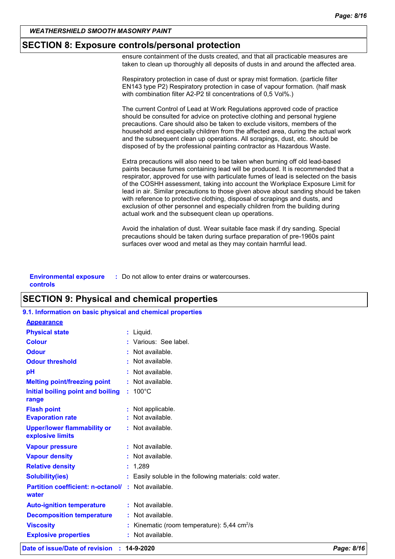#### **SECTION 8: Exposure controls/personal protection**

ensure containment of the dusts created, and that all practicable measures are taken to clean up thoroughly all deposits of dusts in and around the affected area.

Respiratory protection in case of dust or spray mist formation. (particle filter EN143 type P2) Respiratory protection in case of vapour formation. (half mask with combination filter A2-P2 til concentrations of 0,5 Vol%.)

The current Control of Lead at Work Regulations approved code of practice should be consulted for advice on protective clothing and personal hygiene precautions. Care should also be taken to exclude visitors, members of the household and especially children from the affected area, during the actual work and the subsequent clean up operations. All scrapings, dust, etc. should be disposed of by the professional painting contractor as Hazardous Waste.

Extra precautions will also need to be taken when burning off old lead-based paints because fumes containing lead will be produced. It is recommended that a respirator, approved for use with particulate fumes of lead is selected on the basis of the COSHH assessment, taking into account the Workplace Exposure Limit for lead in air. Similar precautions to those given above about sanding should be taken with reference to protective clothing, disposal of scrapings and dusts, and exclusion of other personnel and especially children from the building during actual work and the subsequent clean up operations.

Avoid the inhalation of dust. Wear suitable face mask if dry sanding. Special precautions should be taken during surface preparation of pre-1960s paint surfaces over wood and metal as they may contain harmful lead.

| <b>Environmental exposure</b> | : Do not allow to enter drains or watercourses. |
|-------------------------------|-------------------------------------------------|
| controls                      |                                                 |

### **SECTION 9: Physical and chemical properties**

| Date of issue/Date of revision                             | 14-9-2020                                                | Page: 8/16 |
|------------------------------------------------------------|----------------------------------------------------------|------------|
| <b>Explosive properties</b>                                | : Not available.                                         |            |
| <b>Viscosity</b>                                           | Kinematic (room temperature): $5,44$ cm <sup>2</sup> /s  |            |
| <b>Decomposition temperature</b>                           | : Not available.                                         |            |
| <b>Auto-ignition temperature</b>                           | : Not available.                                         |            |
| <b>Partition coefficient: n-octanol/</b><br>water          | : Not available.                                         |            |
| <b>Solubility(ies)</b>                                     | : Easily soluble in the following materials: cold water. |            |
| <b>Relative density</b>                                    | : 1,289                                                  |            |
| <b>Vapour density</b>                                      | $:$ Not available.                                       |            |
| <b>Vapour pressure</b>                                     | : Not available.                                         |            |
| <b>Upper/lower flammability or</b><br>explosive limits     | : Not available.                                         |            |
| <b>Evaporation rate</b>                                    | : Not available.                                         |            |
| <b>Flash point</b>                                         | : Not applicable.                                        |            |
| Initial boiling point and boiling<br>range                 | $: 100^{\circ}$ C                                        |            |
| <b>Melting point/freezing point</b>                        | : Not available.                                         |            |
| pH                                                         | : Not available.                                         |            |
| <b>Odour threshold</b>                                     | Not available.<br>t.                                     |            |
| <b>Odour</b>                                               | : Not available.                                         |            |
| <b>Colour</b>                                              | : Various: See label.                                    |            |
| <b>Physical state</b>                                      | : Liquid.                                                |            |
| <b>Appearance</b>                                          |                                                          |            |
| 9.1. Information on basic physical and chemical properties |                                                          |            |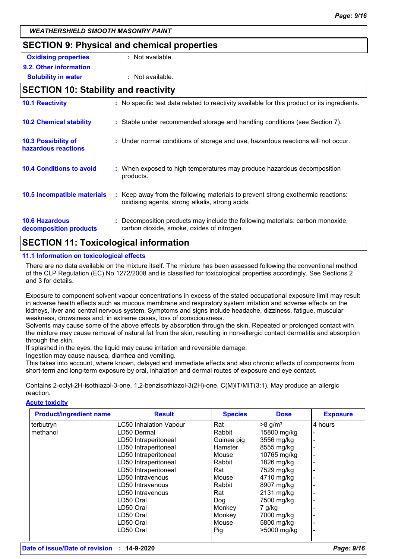## **SECTION 9: Physical and chemical properties**

| <b>Oxidising properties</b> | : Not available. |
|-----------------------------|------------------|
| 9.2. Other information      |                  |
| <b>Solubility in water</b>  | : Not available. |

## **SECTION 10: Stability and reactivity**

| : No specific test data related to reactivity available for this product or its ingredients.                                        |
|-------------------------------------------------------------------------------------------------------------------------------------|
| : Stable under recommended storage and handling conditions (see Section 7).                                                         |
| : Under normal conditions of storage and use, hazardous reactions will not occur.                                                   |
| : When exposed to high temperatures may produce hazardous decomposition<br>products.                                                |
| : Keep away from the following materials to prevent strong exothermic reactions:<br>oxidising agents, strong alkalis, strong acids. |
| : Decomposition products may include the following materials: carbon monoxide,<br>carbon dioxide, smoke, oxides of nitrogen.        |
|                                                                                                                                     |

## **SECTION 11: Toxicological information**

#### **11.1 Information on toxicological effects**

There are no data available on the mixture itself. The mixture has been assessed following the conventional method of the CLP Regulation (EC) No 1272/2008 and is classified for toxicological properties accordingly. See Sections 2 and 3 for details.

Exposure to component solvent vapour concentrations in excess of the stated occupational exposure limit may result in adverse health effects such as mucous membrane and respiratory system irritation and adverse effects on the kidneys, liver and central nervous system. Symptoms and signs include headache, dizziness, fatigue, muscular weakness, drowsiness and, in extreme cases, loss of consciousness.

Solvents may cause some of the above effects by absorption through the skin. Repeated or prolonged contact with the mixture may cause removal of natural fat from the skin, resulting in non-allergic contact dermatitis and absorption through the skin.

If splashed in the eyes, the liquid may cause irritation and reversible damage.

Ingestion may cause nausea, diarrhea and vomiting.

This takes into account, where known, delayed and immediate effects and also chronic effects of components from short-term and long-term exposure by oral, inhalation and dermal routes of exposure and eye contact.

Contains 2-octyl-2H-isothiazol-3-one, 1,2-benzisothiazol-3(2H)-one, C(M)IT/MIT(3:1). May produce an allergic reaction.

#### **Acute toxicity**

| <b>Product/ingredient name</b> | <b>Result</b>                 | <b>Species</b> | <b>Dose</b>           | <b>Exposure</b> |
|--------------------------------|-------------------------------|----------------|-----------------------|-----------------|
| terbutryn                      | <b>LC50 Inhalation Vapour</b> | Rat            | $>8$ g/m <sup>3</sup> | 4 hours         |
| methanol                       | LD50 Dermal                   | Rabbit         | 15800 mg/kg           |                 |
|                                | LD50 Intraperitoneal          | Guinea pig     | 3556 mg/kg            |                 |
|                                | LD50 Intraperitoneal          | Hamster        | 8555 mg/kg            |                 |
|                                | LD50 Intraperitoneal          | Mouse          | 10765 mg/kg           |                 |
|                                | LD50 Intraperitoneal          | Rabbit         | 1826 mg/kg            |                 |
|                                | LD50 Intraperitoneal          | Rat            | 7529 mg/kg            |                 |
|                                | LD50 Intravenous              | Mouse          | 4710 mg/kg            |                 |
|                                | LD50 Intravenous              | Rabbit         | 8907 mg/kg            |                 |
|                                | LD50 Intravenous              | Rat            | 2131 mg/kg            |                 |
|                                | LD50 Oral                     | Dog            | 7500 mg/kg            |                 |
|                                | LD50 Oral                     | Monkey         | $7$ g/kg              |                 |
|                                | LD50 Oral                     | Monkey         | 7000 mg/kg            |                 |
|                                | LD50 Oral                     | Mouse          | 5800 mg/kg            |                 |
|                                | LD50 Oral                     | Pig            | >5000 mg/kg           |                 |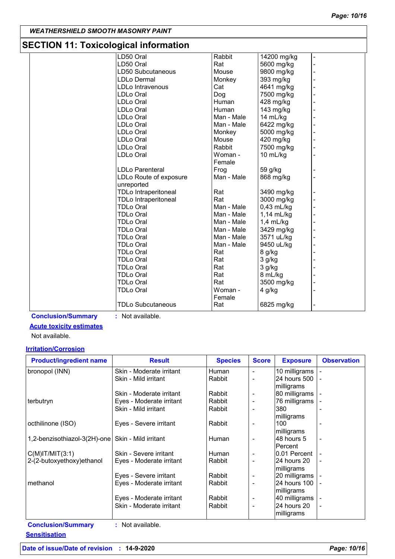## **SECTION 11: Toxicological information**

| Rabbit<br>LD50 Oral<br>14200 mg/kg<br>LD50 Oral<br>Rat<br>5600 mg/kg<br>LD50 Subcutaneous<br>Mouse<br>9800 mg/kg<br><b>LDLo Dermal</b><br>Monkey<br>393 mg/kg<br>Cat<br>4641 mg/kg<br>LDLo Intravenous<br>LDLo Oral<br>Dog<br>7500 mg/kg<br>Human<br>LDLo Oral<br>428 mg/kg<br>Human<br><b>LDLo Oral</b><br>143 mg/kg<br><b>LDLo Oral</b><br>Man - Male<br>14 mL/kg<br>LDLo Oral<br>Man - Male<br>6422 mg/kg<br>Monkey<br>5000 mg/kg<br>LDLo Oral<br><b>LDLo Oral</b><br>Mouse<br>420 mg/kg<br>Rabbit<br>LDLo Oral<br>7500 mg/kg<br>LDLo Oral<br>Woman -<br>10 mL/kg<br>Female<br>LDLo Parenteral<br>Frog<br>59 g/kg<br>Man - Male<br>868 mg/kg<br>LDLo Route of exposure<br>unreported<br>Rat<br><b>TDLo Intraperitoneal</b><br>3490 mg/kg<br>Rat<br>3000 mg/kg<br><b>TDLo Intraperitoneal</b><br><b>TDLo Oral</b><br>Man - Male<br>$0,43$ mL/kg<br><b>TDLo Oral</b><br>Man - Male<br>1,14 mL/kg<br><b>TDLo Oral</b><br>Man - Male<br>$1,4$ mL/kg<br><b>TDLo Oral</b><br>Man - Male<br>3429 mg/kg<br><b>TDLo Oral</b><br>Man - Male<br>3571 uL/kg<br>9450 uL/kg<br><b>TDLo Oral</b><br>Man - Male<br>Rat<br><b>TDLo Oral</b><br>8 g/kg<br>Rat<br><b>TDLo Oral</b><br>3 g/kg<br>Rat<br><b>TDLo Oral</b><br>3 g/kg<br>Rat<br><b>TDLo Oral</b><br>8 mL/kg<br>Rat<br><b>TDLo Oral</b><br>3500 mg/kg<br>Woman -<br><b>TDLo Oral</b><br>4 g/kg<br>Female<br><b>TDLo Subcutaneous</b><br>6825 mg/kg<br>Rat | SECTION TT. TOXICOlOGICALINOMIALION |  |  |
|------------------------------------------------------------------------------------------------------------------------------------------------------------------------------------------------------------------------------------------------------------------------------------------------------------------------------------------------------------------------------------------------------------------------------------------------------------------------------------------------------------------------------------------------------------------------------------------------------------------------------------------------------------------------------------------------------------------------------------------------------------------------------------------------------------------------------------------------------------------------------------------------------------------------------------------------------------------------------------------------------------------------------------------------------------------------------------------------------------------------------------------------------------------------------------------------------------------------------------------------------------------------------------------------------------------------------------------------------------------------------------------------------|-------------------------------------|--|--|
|                                                                                                                                                                                                                                                                                                                                                                                                                                                                                                                                                                                                                                                                                                                                                                                                                                                                                                                                                                                                                                                                                                                                                                                                                                                                                                                                                                                                      |                                     |  |  |
|                                                                                                                                                                                                                                                                                                                                                                                                                                                                                                                                                                                                                                                                                                                                                                                                                                                                                                                                                                                                                                                                                                                                                                                                                                                                                                                                                                                                      |                                     |  |  |
|                                                                                                                                                                                                                                                                                                                                                                                                                                                                                                                                                                                                                                                                                                                                                                                                                                                                                                                                                                                                                                                                                                                                                                                                                                                                                                                                                                                                      |                                     |  |  |
|                                                                                                                                                                                                                                                                                                                                                                                                                                                                                                                                                                                                                                                                                                                                                                                                                                                                                                                                                                                                                                                                                                                                                                                                                                                                                                                                                                                                      |                                     |  |  |
|                                                                                                                                                                                                                                                                                                                                                                                                                                                                                                                                                                                                                                                                                                                                                                                                                                                                                                                                                                                                                                                                                                                                                                                                                                                                                                                                                                                                      |                                     |  |  |
|                                                                                                                                                                                                                                                                                                                                                                                                                                                                                                                                                                                                                                                                                                                                                                                                                                                                                                                                                                                                                                                                                                                                                                                                                                                                                                                                                                                                      |                                     |  |  |
|                                                                                                                                                                                                                                                                                                                                                                                                                                                                                                                                                                                                                                                                                                                                                                                                                                                                                                                                                                                                                                                                                                                                                                                                                                                                                                                                                                                                      |                                     |  |  |
|                                                                                                                                                                                                                                                                                                                                                                                                                                                                                                                                                                                                                                                                                                                                                                                                                                                                                                                                                                                                                                                                                                                                                                                                                                                                                                                                                                                                      |                                     |  |  |
|                                                                                                                                                                                                                                                                                                                                                                                                                                                                                                                                                                                                                                                                                                                                                                                                                                                                                                                                                                                                                                                                                                                                                                                                                                                                                                                                                                                                      |                                     |  |  |
|                                                                                                                                                                                                                                                                                                                                                                                                                                                                                                                                                                                                                                                                                                                                                                                                                                                                                                                                                                                                                                                                                                                                                                                                                                                                                                                                                                                                      |                                     |  |  |
|                                                                                                                                                                                                                                                                                                                                                                                                                                                                                                                                                                                                                                                                                                                                                                                                                                                                                                                                                                                                                                                                                                                                                                                                                                                                                                                                                                                                      |                                     |  |  |
|                                                                                                                                                                                                                                                                                                                                                                                                                                                                                                                                                                                                                                                                                                                                                                                                                                                                                                                                                                                                                                                                                                                                                                                                                                                                                                                                                                                                      |                                     |  |  |
|                                                                                                                                                                                                                                                                                                                                                                                                                                                                                                                                                                                                                                                                                                                                                                                                                                                                                                                                                                                                                                                                                                                                                                                                                                                                                                                                                                                                      |                                     |  |  |
|                                                                                                                                                                                                                                                                                                                                                                                                                                                                                                                                                                                                                                                                                                                                                                                                                                                                                                                                                                                                                                                                                                                                                                                                                                                                                                                                                                                                      |                                     |  |  |
|                                                                                                                                                                                                                                                                                                                                                                                                                                                                                                                                                                                                                                                                                                                                                                                                                                                                                                                                                                                                                                                                                                                                                                                                                                                                                                                                                                                                      |                                     |  |  |
|                                                                                                                                                                                                                                                                                                                                                                                                                                                                                                                                                                                                                                                                                                                                                                                                                                                                                                                                                                                                                                                                                                                                                                                                                                                                                                                                                                                                      |                                     |  |  |
|                                                                                                                                                                                                                                                                                                                                                                                                                                                                                                                                                                                                                                                                                                                                                                                                                                                                                                                                                                                                                                                                                                                                                                                                                                                                                                                                                                                                      |                                     |  |  |
|                                                                                                                                                                                                                                                                                                                                                                                                                                                                                                                                                                                                                                                                                                                                                                                                                                                                                                                                                                                                                                                                                                                                                                                                                                                                                                                                                                                                      |                                     |  |  |
|                                                                                                                                                                                                                                                                                                                                                                                                                                                                                                                                                                                                                                                                                                                                                                                                                                                                                                                                                                                                                                                                                                                                                                                                                                                                                                                                                                                                      |                                     |  |  |
|                                                                                                                                                                                                                                                                                                                                                                                                                                                                                                                                                                                                                                                                                                                                                                                                                                                                                                                                                                                                                                                                                                                                                                                                                                                                                                                                                                                                      |                                     |  |  |
|                                                                                                                                                                                                                                                                                                                                                                                                                                                                                                                                                                                                                                                                                                                                                                                                                                                                                                                                                                                                                                                                                                                                                                                                                                                                                                                                                                                                      |                                     |  |  |
|                                                                                                                                                                                                                                                                                                                                                                                                                                                                                                                                                                                                                                                                                                                                                                                                                                                                                                                                                                                                                                                                                                                                                                                                                                                                                                                                                                                                      |                                     |  |  |
|                                                                                                                                                                                                                                                                                                                                                                                                                                                                                                                                                                                                                                                                                                                                                                                                                                                                                                                                                                                                                                                                                                                                                                                                                                                                                                                                                                                                      |                                     |  |  |
|                                                                                                                                                                                                                                                                                                                                                                                                                                                                                                                                                                                                                                                                                                                                                                                                                                                                                                                                                                                                                                                                                                                                                                                                                                                                                                                                                                                                      |                                     |  |  |
|                                                                                                                                                                                                                                                                                                                                                                                                                                                                                                                                                                                                                                                                                                                                                                                                                                                                                                                                                                                                                                                                                                                                                                                                                                                                                                                                                                                                      |                                     |  |  |
|                                                                                                                                                                                                                                                                                                                                                                                                                                                                                                                                                                                                                                                                                                                                                                                                                                                                                                                                                                                                                                                                                                                                                                                                                                                                                                                                                                                                      |                                     |  |  |
|                                                                                                                                                                                                                                                                                                                                                                                                                                                                                                                                                                                                                                                                                                                                                                                                                                                                                                                                                                                                                                                                                                                                                                                                                                                                                                                                                                                                      |                                     |  |  |
|                                                                                                                                                                                                                                                                                                                                                                                                                                                                                                                                                                                                                                                                                                                                                                                                                                                                                                                                                                                                                                                                                                                                                                                                                                                                                                                                                                                                      |                                     |  |  |
|                                                                                                                                                                                                                                                                                                                                                                                                                                                                                                                                                                                                                                                                                                                                                                                                                                                                                                                                                                                                                                                                                                                                                                                                                                                                                                                                                                                                      |                                     |  |  |
|                                                                                                                                                                                                                                                                                                                                                                                                                                                                                                                                                                                                                                                                                                                                                                                                                                                                                                                                                                                                                                                                                                                                                                                                                                                                                                                                                                                                      |                                     |  |  |
|                                                                                                                                                                                                                                                                                                                                                                                                                                                                                                                                                                                                                                                                                                                                                                                                                                                                                                                                                                                                                                                                                                                                                                                                                                                                                                                                                                                                      |                                     |  |  |
|                                                                                                                                                                                                                                                                                                                                                                                                                                                                                                                                                                                                                                                                                                                                                                                                                                                                                                                                                                                                                                                                                                                                                                                                                                                                                                                                                                                                      |                                     |  |  |
|                                                                                                                                                                                                                                                                                                                                                                                                                                                                                                                                                                                                                                                                                                                                                                                                                                                                                                                                                                                                                                                                                                                                                                                                                                                                                                                                                                                                      |                                     |  |  |
|                                                                                                                                                                                                                                                                                                                                                                                                                                                                                                                                                                                                                                                                                                                                                                                                                                                                                                                                                                                                                                                                                                                                                                                                                                                                                                                                                                                                      |                                     |  |  |

## **Conclusion/Summary :** Not available.

#### **Acute toxicity estimates**

Not available.

#### **Irritation/Corrosion**

| <b>Product/ingredient name</b>                      | <b>Result</b>            | <b>Species</b> | <b>Score</b> | <b>Exposure</b> | <b>Observation</b> |
|-----------------------------------------------------|--------------------------|----------------|--------------|-----------------|--------------------|
| bronopol (INN)                                      | Skin - Moderate irritant | Human          |              | 10 milligrams   |                    |
|                                                     | Skin - Mild irritant     | Rabbit         |              | 24 hours 500    |                    |
|                                                     |                          |                |              | milligrams      |                    |
|                                                     | Skin - Moderate irritant | Rabbit         |              | 80 milligrams   |                    |
| terbutryn                                           | Eyes - Moderate irritant | Rabbit         |              | 76 milligrams   |                    |
|                                                     | Skin - Mild irritant     | Rabbit         |              | 380             |                    |
|                                                     |                          |                |              | milligrams      |                    |
| octhilinone (ISO)                                   | Eyes - Severe irritant   | Rabbit         |              | 100             |                    |
|                                                     |                          |                |              | milligrams      |                    |
| 1,2-benzisothiazol-3(2H)-one   Skin - Mild irritant |                          | Human          |              | 48 hours 5      |                    |
|                                                     |                          |                |              | Percent         |                    |
| C(M) T/MIT(3:1)                                     | Skin - Severe irritant   | Human          |              | 10.01 Percent   |                    |
| 2-(2-butoxyethoxy)ethanol                           | Eyes - Moderate irritant | Rabbit         |              | 24 hours 20     |                    |
|                                                     |                          |                |              | milligrams      |                    |
|                                                     | Eyes - Severe irritant   | Rabbit         |              | 20 milligrams   |                    |
| methanol                                            | Eyes - Moderate irritant | Rabbit         |              | 24 hours 100    |                    |
|                                                     |                          |                |              | milligrams      |                    |
|                                                     | Eyes - Moderate irritant | Rabbit         |              | 40 milligrams   |                    |
|                                                     | Skin - Moderate irritant | Rabbit         |              | 24 hours 20     |                    |
|                                                     |                          |                |              | milligrams      |                    |
| <b>Conclusion/Summary</b>                           | : Not available.         |                |              |                 |                    |

**Sensitisation**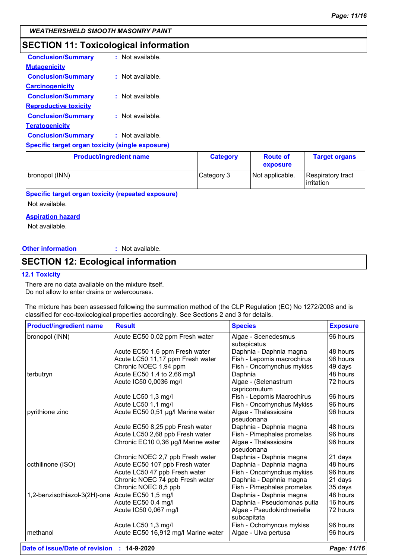## **SECTION 11: Toxicological information**

| <b>Conclusion/Summary</b>                               | : Not available. |
|---------------------------------------------------------|------------------|
| <b>Mutagenicity</b>                                     |                  |
| <b>Conclusion/Summary</b>                               | : Not available. |
| <b>Carcinogenicity</b>                                  |                  |
| <b>Conclusion/Summary</b>                               | : Not available. |
| <b>Reproductive toxicity</b>                            |                  |
| <b>Conclusion/Summary</b>                               | : Not available. |
| <b>Teratogenicity</b>                                   |                  |
| <b>Conclusion/Summary</b>                               | : Not available. |
| <b>Specific target organ toxicity (single exposure)</b> |                  |

| <b>Product/ingredient name</b> | <b>Category</b> | <b>Route of</b><br>exposure | <b>Target organs</b>                   |
|--------------------------------|-----------------|-----------------------------|----------------------------------------|
| bronopol (INN)                 | Category 3      | Not applicable.             | <b>Respiratory tract</b><br>irritation |

**Specific target organ toxicity (repeated exposure)**

Not available.

#### **Aspiration hazard**

Not available.

#### **Other information :**

: Not available.

## **SECTION 12: Ecological information**

#### **12.1 Toxicity**

There are no data available on the mixture itself. Do not allow to enter drains or watercourses.

The mixture has been assessed following the summation method of the CLP Regulation (EC) No 1272/2008 and is classified for eco-toxicological properties accordingly. See Sections 2 and 3 for details.

| <b>Product/ingredient name</b> | <b>Result</b>                       | <b>Species</b>                             | <b>Exposure</b> |
|--------------------------------|-------------------------------------|--------------------------------------------|-----------------|
| bronopol (INN)                 | Acute EC50 0,02 ppm Fresh water     | Algae - Scenedesmus                        | 96 hours        |
|                                |                                     | subspicatus                                |                 |
|                                | Acute EC50 1,6 ppm Fresh water      | Daphnia - Daphnia magna                    | 48 hours        |
|                                | Acute LC50 11,17 ppm Fresh water    | Fish - Lepomis macrochirus                 | 96 hours        |
|                                | Chronic NOEC 1,94 ppm               | Fish - Oncorhynchus mykiss                 | 49 days         |
| terbutryn                      | Acute EC50 1,4 to 2,66 mg/l         | Daphnia                                    | 48 hours        |
|                                | Acute IC50 0,0036 mg/l              | Algae - (Selenastrum<br>capricornutum      | 72 hours        |
|                                | Acute LC50 1,3 mg/l                 | Fish - Lepomis Macrochirus                 | 96 hours        |
|                                | Acute LC50 1,1 mg/l                 | Fish - Oncorhynchus Mykiss                 | 96 hours        |
| pyrithione zinc                | Acute EC50 0,51 µg/l Marine water   | Algae - Thalassiosira                      | 96 hours        |
|                                |                                     | pseudonana                                 |                 |
|                                | Acute EC50 8,25 ppb Fresh water     | Daphnia - Daphnia magna                    | 48 hours        |
|                                | Acute LC50 2,68 ppb Fresh water     | Fish - Pimephales promelas                 | 96 hours        |
|                                | Chronic EC10 0,36 µg/l Marine water | Algae - Thalassiosira<br>pseudonana        | 96 hours        |
|                                | Chronic NOEC 2,7 ppb Fresh water    | Daphnia - Daphnia magna                    | 21 days         |
| octhilinone (ISO)              | Acute EC50 107 ppb Fresh water      | Daphnia - Daphnia magna                    | 48 hours        |
|                                | Acute LC50 47 ppb Fresh water       | Fish - Oncorhynchus mykiss                 | 96 hours        |
|                                | Chronic NOEC 74 ppb Fresh water     | Daphnia - Daphnia magna                    | 21 days         |
|                                | Chronic NOEC 8,5 ppb                | Fish - Pimephales promelas                 | 35 days         |
| 1,2-benzisothiazol-3(2H)-one   | Acute EC50 1,5 mg/l                 | Daphnia - Daphnia magna                    | 48 hours        |
|                                | Acute EC50 0,4 mg/l                 | Daphnia - Pseudomonas putia                | 16 hours        |
|                                | Acute IC50 0,067 mg/l               | Algae - Pseudokirchneriella<br>subcapitata | 72 hours        |
|                                | Acute LC50 1,3 mg/l                 | Fish - Ochorhyncus mykiss                  | 96 hours        |
| methanol                       | Acute EC50 16,912 mg/l Marine water | Algae - Ulva pertusa                       | 96 hours        |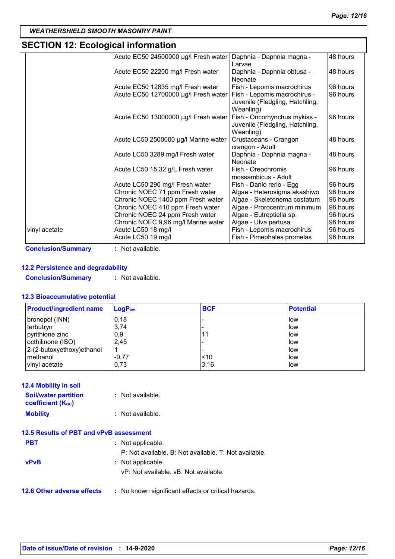## **SECTION 12: Ecological information**

| Acute EC50 24500000 µg/l Fresh water<br>Acute EC50 22200 mg/l Fresh water<br>Acute EC50 12835 mg/l Fresh water<br>Acute EC50 12700000 µg/l Fresh water<br>Acute EC50 13000000 µg/l Fresh water | Daphnia - Daphnia magna -<br>Larvae<br>Daphnia - Daphnia obtusa -<br>Neonate<br>Fish - Lepomis macrochirus<br>Fish - Lepomis macrochirus -<br>Juvenile (Fledgling, Hatchling,<br>Weanling)<br>Fish - Oncorhynchus mykiss -<br>Juvenile (Fledgling, Hatchling, | 48 hours<br>48 hours<br>96 hours<br>96 hours<br>96 hours                                                                                                                                                                         |
|------------------------------------------------------------------------------------------------------------------------------------------------------------------------------------------------|---------------------------------------------------------------------------------------------------------------------------------------------------------------------------------------------------------------------------------------------------------------|----------------------------------------------------------------------------------------------------------------------------------------------------------------------------------------------------------------------------------|
|                                                                                                                                                                                                |                                                                                                                                                                                                                                                               |                                                                                                                                                                                                                                  |
|                                                                                                                                                                                                |                                                                                                                                                                                                                                                               |                                                                                                                                                                                                                                  |
|                                                                                                                                                                                                |                                                                                                                                                                                                                                                               |                                                                                                                                                                                                                                  |
|                                                                                                                                                                                                |                                                                                                                                                                                                                                                               |                                                                                                                                                                                                                                  |
|                                                                                                                                                                                                |                                                                                                                                                                                                                                                               |                                                                                                                                                                                                                                  |
|                                                                                                                                                                                                |                                                                                                                                                                                                                                                               |                                                                                                                                                                                                                                  |
|                                                                                                                                                                                                |                                                                                                                                                                                                                                                               |                                                                                                                                                                                                                                  |
|                                                                                                                                                                                                |                                                                                                                                                                                                                                                               |                                                                                                                                                                                                                                  |
|                                                                                                                                                                                                |                                                                                                                                                                                                                                                               |                                                                                                                                                                                                                                  |
|                                                                                                                                                                                                | Weanling)                                                                                                                                                                                                                                                     |                                                                                                                                                                                                                                  |
| Acute LC50 2500000 µg/l Marine water                                                                                                                                                           | Crustaceans - Crangon                                                                                                                                                                                                                                         | 48 hours                                                                                                                                                                                                                         |
|                                                                                                                                                                                                | crangon - Adult                                                                                                                                                                                                                                               |                                                                                                                                                                                                                                  |
| Acute LC50 3289 mg/l Fresh water                                                                                                                                                               | Daphnia - Daphnia magna -                                                                                                                                                                                                                                     | 48 hours                                                                                                                                                                                                                         |
|                                                                                                                                                                                                | Neonate                                                                                                                                                                                                                                                       |                                                                                                                                                                                                                                  |
| Acute LC50 15,32 g/L Fresh water                                                                                                                                                               | Fish - Oreochromis                                                                                                                                                                                                                                            | 96 hours                                                                                                                                                                                                                         |
|                                                                                                                                                                                                | mossambicus - Adult                                                                                                                                                                                                                                           |                                                                                                                                                                                                                                  |
| Acute LC50 290 mg/l Fresh water                                                                                                                                                                | Fish - Danio rerio - Egg                                                                                                                                                                                                                                      | 96 hours                                                                                                                                                                                                                         |
|                                                                                                                                                                                                |                                                                                                                                                                                                                                                               | 96 hours                                                                                                                                                                                                                         |
|                                                                                                                                                                                                |                                                                                                                                                                                                                                                               | 96 hours                                                                                                                                                                                                                         |
|                                                                                                                                                                                                |                                                                                                                                                                                                                                                               | 96 hours                                                                                                                                                                                                                         |
|                                                                                                                                                                                                |                                                                                                                                                                                                                                                               | 96 hours                                                                                                                                                                                                                         |
|                                                                                                                                                                                                |                                                                                                                                                                                                                                                               | 96 hours                                                                                                                                                                                                                         |
|                                                                                                                                                                                                |                                                                                                                                                                                                                                                               | 96 hours                                                                                                                                                                                                                         |
|                                                                                                                                                                                                |                                                                                                                                                                                                                                                               | 96 hours                                                                                                                                                                                                                         |
|                                                                                                                                                                                                | Chronic NOEC 71 ppm Fresh water<br>Chronic NOEC 1400 ppm Fresh water<br>Chronic NOEC 410 ppm Fresh water<br>Chronic NOEC 24 ppm Fresh water<br>Chronic NOEC 9,96 mg/l Marine water<br>Acute LC50 18 mg/l<br>Acute LC50 19 mg/l                                | Algae - Heterosigma akashiwo<br>Algae - Skeletonema costatum<br>Algae - Prorocentrum minimum<br>Algae - Eutreptiella sp.<br>Algae - Ulva pertusa<br>Fish - Lepomis macrochirus<br>Fish - Pimephales promelas<br>: Not available. |

#### **12.2 Persistence and degradability**

**Conclusion/Summary :** Not available.

#### **12.3 Bioaccumulative potential**

| <b>Product/ingredient name</b> | $LogP_{ow}$ | <b>BCF</b> | <b>Potential</b> |
|--------------------------------|-------------|------------|------------------|
| bronopol (INN)                 | 0,18        |            | low              |
| terbutryn                      | 3,74        |            | low              |
| pyrithione zinc                | 0,9         |            | low              |
| octhilinone (ISO)              | 2,45        |            | low              |
| 2-(2-butoxyethoxy) ethanol     |             |            | low              |
| methanol                       | $-0,77$     | ~10        | low              |
| vinyl acetate                  | 0,73        | 3,16       | low              |

| <b>12.4 Mobility in soil</b>                                         |                  |
|----------------------------------------------------------------------|------------------|
| <b>Soil/water partition</b><br><b>coefficient</b> (K <sub>oc</sub> ) | : Not available. |
| <b>Mobility</b>                                                      | : Not available. |

### **12.5 Results of PBT and vPvB assessment**

| <b>PBT</b>                        | : Not applicable.                                          |
|-----------------------------------|------------------------------------------------------------|
|                                   | P: Not available. B: Not available. T: Not available.      |
| <b>vPvB</b>                       | : Not applicable.<br>vP: Not available. vB: Not available. |
| <b>12.6 Other adverse effects</b> | : No known significant effects or critical hazards.        |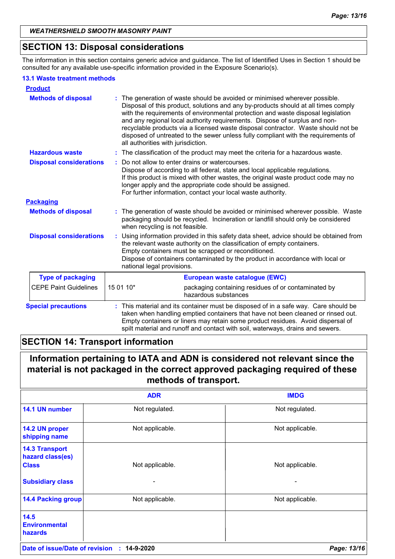## **SECTION 13: Disposal considerations**

The information in this section contains generic advice and guidance. The list of Identified Uses in Section 1 should be consulted for any available use-specific information provided in the Exposure Scenario(s).

#### **13.1 Waste treatment methods**

| <b>Product</b>                 |                                    |                                                                                                                                                                                                                                                                                                                                                                                                                                                                                                              |
|--------------------------------|------------------------------------|--------------------------------------------------------------------------------------------------------------------------------------------------------------------------------------------------------------------------------------------------------------------------------------------------------------------------------------------------------------------------------------------------------------------------------------------------------------------------------------------------------------|
| <b>Methods of disposal</b>     | all authorities with jurisdiction. | The generation of waste should be avoided or minimised wherever possible.<br>Disposal of this product, solutions and any by-products should at all times comply<br>with the requirements of environmental protection and waste disposal legislation<br>and any regional local authority requirements. Dispose of surplus and non-<br>recyclable products via a licensed waste disposal contractor. Waste should not be<br>disposed of untreated to the sewer unless fully compliant with the requirements of |
| <b>Hazardous waste</b>         |                                    | : The classification of the product may meet the criteria for a hazardous waste.                                                                                                                                                                                                                                                                                                                                                                                                                             |
| <b>Disposal considerations</b> |                                    | Do not allow to enter drains or watercourses.<br>Dispose of according to all federal, state and local applicable regulations.<br>If this product is mixed with other wastes, the original waste product code may no<br>longer apply and the appropriate code should be assigned.<br>For further information, contact your local waste authority.                                                                                                                                                             |
| <b>Packaging</b>               |                                    |                                                                                                                                                                                                                                                                                                                                                                                                                                                                                                              |
| <b>Methods of disposal</b>     | when recycling is not feasible.    | : The generation of waste should be avoided or minimised wherever possible. Waste<br>packaging should be recycled. Incineration or landfill should only be considered                                                                                                                                                                                                                                                                                                                                        |
| <b>Disposal considerations</b> | national legal provisions.         | Using information provided in this safety data sheet, advice should be obtained from<br>the relevant waste authority on the classification of empty containers.<br>Empty containers must be scrapped or reconditioned.<br>Dispose of containers contaminated by the product in accordance with local or                                                                                                                                                                                                      |
| <b>Type of packaging</b>       |                                    | European waste catalogue (EWC)                                                                                                                                                                                                                                                                                                                                                                                                                                                                               |
| <b>CEPE Paint Guidelines</b>   | 15 01 10*                          | packaging containing residues of or contaminated by<br>hazardous substances                                                                                                                                                                                                                                                                                                                                                                                                                                  |
| <b>Special precautions</b>     |                                    | : This material and its container must be disposed of in a safe way. Care should be<br>taken when handling emptied containers that have not been cleaned or rinsed out.<br>Empty containers or liners may retain some product residues. Avoid dispersal of<br>spilt material and runoff and contact with soil, waterways, drains and sewers.                                                                                                                                                                 |

## **SECTION 14: Transport information**

## **Information pertaining to IATA and ADN is considered not relevant since the material is not packaged in the correct approved packaging required of these methods of transport.**

|                                                           | <b>ADR</b>      | <b>IMDG</b>     |
|-----------------------------------------------------------|-----------------|-----------------|
| 14.1 UN number                                            | Not regulated.  | Not regulated.  |
| 14.2 UN proper<br>shipping name                           | Not applicable. | Not applicable. |
| <b>14.3 Transport</b><br>hazard class(es)<br><b>Class</b> | Not applicable. | Not applicable. |
| <b>Subsidiary class</b>                                   |                 |                 |
| <b>14.4 Packing group</b>                                 | Not applicable. | Not applicable. |
| 14.5<br><b>Environmental</b><br><b>hazards</b>            |                 |                 |
| Date of issue/Date of revision                            | 14-9-2020<br>÷. | Page: 13/16     |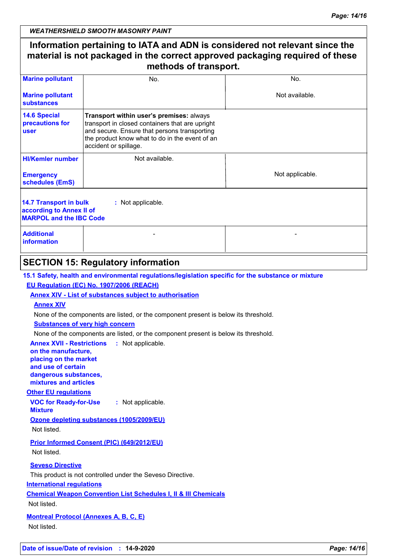## **Information pertaining to IATA and ADN is considered not relevant since the material is not packaged in the correct approved packaging required of these methods of transport.**

| <b>Marine pollutant</b>                                                                                   | No.                                                                                                                                                                                                                    | No.             |
|-----------------------------------------------------------------------------------------------------------|------------------------------------------------------------------------------------------------------------------------------------------------------------------------------------------------------------------------|-----------------|
| <b>Marine pollutant</b><br>substances                                                                     |                                                                                                                                                                                                                        | Not available.  |
| <b>14.6 Special</b><br>precautions for<br><b>user</b>                                                     | Transport within user's premises: always<br>transport in closed containers that are upright<br>and secure. Ensure that persons transporting<br>the product know what to do in the event of an<br>accident or spillage. |                 |
| <b>HI/Kemler number</b>                                                                                   | Not available.                                                                                                                                                                                                         |                 |
| <b>Emergency</b><br>schedules (EmS)                                                                       |                                                                                                                                                                                                                        | Not applicable. |
| 14.7 Transport in bulk<br>: Not applicable.<br>according to Annex II of<br><b>MARPOL and the IBC Code</b> |                                                                                                                                                                                                                        |                 |
| <b>Additional</b><br>information                                                                          |                                                                                                                                                                                                                        |                 |
|                                                                                                           |                                                                                                                                                                                                                        |                 |

## **SECTION 15: Regulatory information**

**15.1 Safety, health and environmental regulations/legislation specific for the substance or mixture**

#### **EU Regulation (EC) No. 1907/2006 (REACH)**

**Annex XIV - List of substances subject to authorisation**

#### **Annex XIV**

None of the components are listed, or the component present is below its threshold.

#### **Substances of very high concern**

None of the components are listed, or the component present is below its threshold.

**Annex XVII - Restrictions : Not applicable.** 

**on the manufacture, placing on the market and use of certain dangerous substances, mixtures and articles**

#### **Other EU regulations**

**VOC for Ready-for-Use Mixture :** Not applicable.

**Ozone depleting substances (1005/2009/EU)**

Not listed.

**Prior Informed Consent (PIC) (649/2012/EU)**

Not listed.

#### **Seveso Directive**

This product is not controlled under the Seveso Directive.

#### **International regulations**

**Chemical Weapon Convention List Schedules I, II & III Chemicals**

Not listed.

#### **Montreal Protocol (Annexes A, B, C, E)**

Not listed.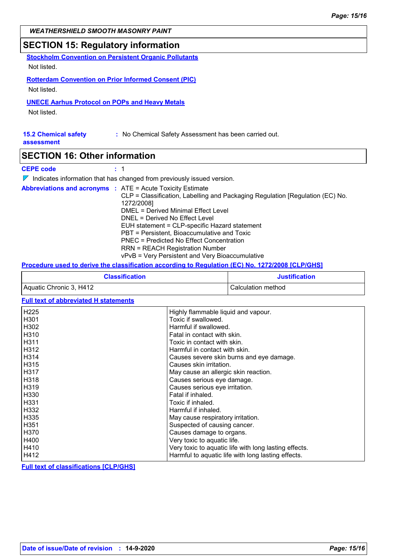#### **SECTION 15: Regulatory information**

**Stockholm Convention on Persistent Organic Pollutants** Not listed.

**Rotterdam Convention on Prior Informed Consent (PIC)** Not listed.

#### **UNECE Aarhus Protocol on POPs and Heavy Metals**

Not listed.

## **15.2 Chemical safety** : No Chemical Safety Assessment has been carried out.

**assessment**

#### **SECTION 16: Other information**

#### **CEPE code :** 1

 $\nabla$  Indicates information that has changed from previously issued version.

|  | <b>Abbreviations and acronyms : ATE = Acute Toxicity Estimate</b>             |
|--|-------------------------------------------------------------------------------|
|  | CLP = Classification, Labelling and Packaging Regulation [Regulation (EC) No. |
|  | 1272/2008]                                                                    |
|  | DMEL = Derived Minimal Effect Level                                           |
|  | DNEL = Derived No Effect Level                                                |
|  | EUH statement = CLP-specific Hazard statement                                 |
|  | PBT = Persistent, Bioaccumulative and Toxic                                   |
|  | PNEC = Predicted No Effect Concentration                                      |
|  | <b>RRN = REACH Registration Number</b>                                        |
|  | vPvB = Very Persistent and Very Bioaccumulative                               |

#### **Procedure used to derive the classification according to Regulation (EC) No. 1272/2008 [CLP/GHS]**

| <b>Classification</b>   | <b>Justification</b> |
|-------------------------|----------------------|
| Aquatic Chronic 3, H412 | Calculation method   |

#### **Full text of abbreviated H statements**

| H225        | Highly flammable liquid and vapour.                   |
|-------------|-------------------------------------------------------|
| H301        | Toxic if swallowed.                                   |
| H302        | Harmful if swallowed.                                 |
| H310        | Fatal in contact with skin.                           |
| <b>H311</b> | Toxic in contact with skin.                           |
| H312        | Harmful in contact with skin.                         |
| H314        | Causes severe skin burns and eye damage.              |
| H315        | Causes skin irritation.                               |
| H317        | May cause an allergic skin reaction.                  |
| H318        | Causes serious eye damage.                            |
| H319        | Causes serious eye irritation.                        |
| H330        | Fatal if inhaled.                                     |
| H331        | Toxic if inhaled.                                     |
| H332        | Harmful if inhaled.                                   |
| H335        | May cause respiratory irritation.                     |
| H351        | Suspected of causing cancer.                          |
| H370        | Causes damage to organs.                              |
| H400        | Very toxic to aquatic life.                           |
| H410        | Very toxic to aquatic life with long lasting effects. |
| H412        | Harmful to aquatic life with long lasting effects.    |

**Full text of classifications [CLP/GHS]**